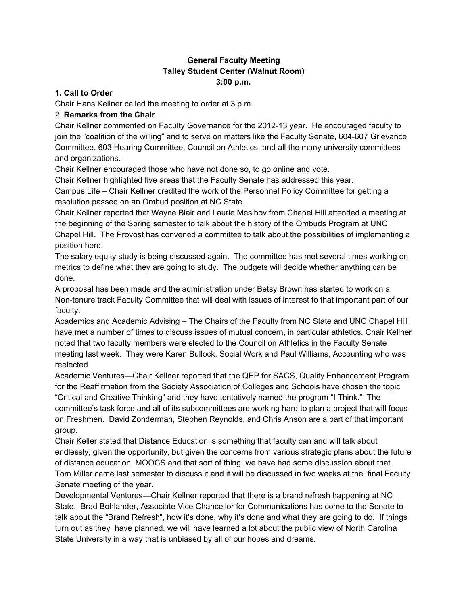# **General Faculty Meeting Talley Student Center (Walnut Room) 3:00 p.m.**

## **1. Call to Order**

Chair Hans Kellner called the meeting to order at 3 p.m.

## 2. **Remarks from the Chair**

Chair Kellner commented on Faculty Governance for the 2012-13 year. He encouraged faculty to join the "coalition of the willing" and to serve on matters like the Faculty Senate, 604-607 Grievance Committee, 603 Hearing Committee, Council on Athletics, and all the many university committees and organizations.

Chair Kellner encouraged those who have not done so, to go online and vote.

Chair Kellner highlighted five areas that the Faculty Senate has addressed this year.

Campus Life – Chair Kellner credited the work of the Personnel Policy Committee for getting a resolution passed on an Ombud position at NC State.

Chair Kellner reported that Wayne Blair and Laurie Mesibov from Chapel Hill attended a meeting at the beginning of the Spring semester to talk about the history of the Ombuds Program at UNC Chapel Hill. The Provost has convened a committee to talk about the possibilities of implementing a position here.

The salary equity study is being discussed again. The committee has met several times working on metrics to define what they are going to study. The budgets will decide whether anything can be done.

A proposal has been made and the administration under Betsy Brown has started to work on a Non-tenure track Faculty Committee that will deal with issues of interest to that important part of our faculty.

Academics and Academic Advising – The Chairs of the Faculty from NC State and UNC Chapel Hill have met a number of times to discuss issues of mutual concern, in particular athletics. Chair Kellner noted that two faculty members were elected to the Council on Athletics in the Faculty Senate meeting last week. They were Karen Bullock, Social Work and Paul Williams, Accounting who was reelected.

Academic Ventures—Chair Kellner reported that the QEP for SACS, Quality Enhancement Program for the Reaffirmation from the Society Association of Colleges and Schools have chosen the topic "Critical and Creative Thinking" and they have tentatively named the program "I Think." The committee's task force and all of its subcommittees are working hard to plan a project that will focus on Freshmen. David Zonderman, Stephen Reynolds, and Chris Anson are a part of that important group.

Chair Keller stated that Distance Education is something that faculty can and will talk about endlessly, given the opportunity, but given the concerns from various strategic plans about the future of distance education, MOOCS and that sort of thing, we have had some discussion about that. Tom Miller came last semester to discuss it and it will be discussed in two weeks at the final Faculty Senate meeting of the year.

Developmental Ventures—Chair Kellner reported that there is a brand refresh happening at NC State. Brad Bohlander, Associate Vice Chancellor for Communications has come to the Senate to talk about the "Brand Refresh", how it's done, why it's done and what they are going to do. If things turn out as they have planned, we will have learned a lot about the public view of North Carolina State University in a way that is unbiased by all of our hopes and dreams.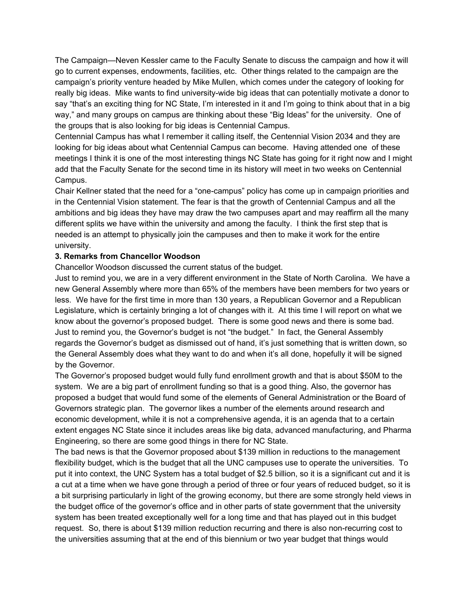The Campaign—Neven Kessler came to the Faculty Senate to discuss the campaign and how it will go to current expenses, endowments, facilities, etc. Other things related to the campaign are the campaign's priority venture headed by Mike Mullen, which comes under the category of looking for really big ideas. Mike wants to find university-wide big ideas that can potentially motivate a donor to say "that's an exciting thing for NC State, I'm interested in it and I'm going to think about that in a big way," and many groups on campus are thinking about these "Big Ideas" for the university. One of the groups that is also looking for big ideas is Centennial Campus.

Centennial Campus has what I remember it calling itself, the Centennial Vision 2034 and they are looking for big ideas about what Centennial Campus can become. Having attended one of these meetings I think it is one of the most interesting things NC State has going for it right now and I might add that the Faculty Senate for the second time in its history will meet in two weeks on Centennial Campus.

Chair Kellner stated that the need for a "one-campus" policy has come up in campaign priorities and in the Centennial Vision statement. The fear is that the growth of Centennial Campus and all the ambitions and big ideas they have may draw the two campuses apart and may reaffirm all the many different splits we have within the university and among the faculty. I think the first step that is needed is an attempt to physically join the campuses and then to make it work for the entire university.

## **3. Remarks from Chancellor Woodson**

Chancellor Woodson discussed the current status of the budget.

Just to remind you, we are in a very different environment in the State of North Carolina. We have a new General Assembly where more than 65% of the members have been members for two years or less. We have for the first time in more than 130 years, a Republican Governor and a Republican Legislature, which is certainly bringing a lot of changes with it. At this time I will report on what we know about the governor's proposed budget. There is some good news and there is some bad. Just to remind you, the Governor's budget is not "the budget." In fact, the General Assembly regards the Governor's budget as dismissed out of hand, it's just something that is written down, so the General Assembly does what they want to do and when it's all done, hopefully it will be signed by the Governor.

The Governor's proposed budget would fully fund enrollment growth and that is about \$50M to the system. We are a big part of enrollment funding so that is a good thing. Also, the governor has proposed a budget that would fund some of the elements of General Administration or the Board of Governors strategic plan. The governor likes a number of the elements around research and economic development, while it is not a comprehensive agenda, it is an agenda that to a certain extent engages NC State since it includes areas like big data, advanced manufacturing, and Pharma Engineering, so there are some good things in there for NC State.

The bad news is that the Governor proposed about \$139 million in reductions to the management flexibility budget, which is the budget that all the UNC campuses use to operate the universities. To put it into context, the UNC System has a total budget of \$2.5 billion, so it is a significant cut and it is a cut at a time when we have gone through a period of three or four years of reduced budget, so it is a bit surprising particularly in light of the growing economy, but there are some strongly held views in the budget office of the governor's office and in other parts of state government that the university system has been treated exceptionally well for a long time and that has played out in this budget request. So, there is about \$139 million reduction recurring and there is also nonrecurring cost to the universities assuming that at the end of this biennium or two year budget that things would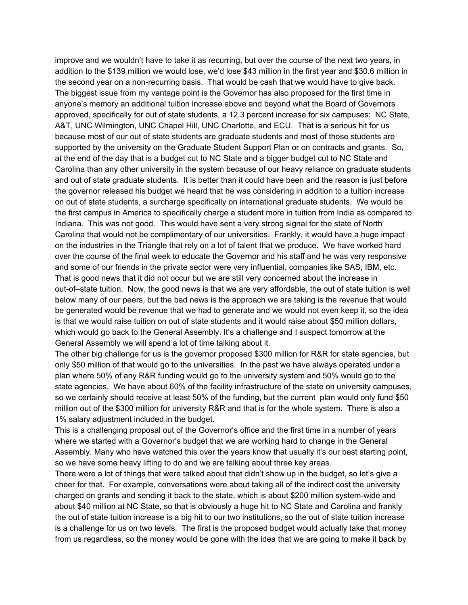improve and we wouldn't have to take it as recurring, but over the course of the next two years, in addition to the \$139 million we would lose, we'd lose \$43 million in the first year and \$30.6 million in the second year on a non-recurring basis. That would be cash that we would have to give back. The biggest issue from my vantage point is the Governor has also proposed for the first time in anyone's memory an additional tuition increase above and beyond what the Board of Governors approved, specifically for out of state students, a 12.3 percent increase for six campuses: NC State, A&T, UNC Wilmington, UNC Chapel Hill, UNC Charlotte, and ECU. That is a serious hit for us because most of our out of state students are graduate students and most of those students are supported by the university on the Graduate Student Support Plan or on contracts and grants. So, at the end of the day that is a budget cut to NC State and a bigger budget cut to NC State and Carolina than any other university in the system because of our heavy reliance on graduate students and out of state graduate students. It is better than it could have been and the reason is just before the governor released his budget we heard that he was considering in addition to a tuition increase on out of state students, a surcharge specifically on international graduate students. We would be the first campus in America to specifically charge a student more in tuition from India as compared to Indiana. This was not good. This would have sent a very strong signal for the state of North Carolina that would not be complimentary of our universities. Frankly, it would have a huge impact on the industries in the Triangle that rely on a lot of talent that we produce. We have worked hard over the course of the final week to educate the Governor and his staff and he was very responsive and some of our friends in the private sector were very influential, companies like SAS, IBM, etc. That is good news that it did not occur but we are still very concerned about the increase in out-of–state tuition. Now, the good news is that we are very affordable, the out of state tuition is well below many of our peers, but the bad news is the approach we are taking is the revenue that would be generated would be revenue that we had to generate and we would not even keep it, so the idea is that we would raise tuition on out of state students and it would raise about \$50 million dollars, which would go back to the General Assembly. It's a challenge and I suspect tomorrow at the General Assembly we will spend a lot of time talking about it.

The other big challenge for us is the governor proposed \$300 million for R&R for state agencies, but only \$50 million of that would go to the universities. In the past we have always operated under a plan where 50% of any R&R funding would go to the university system and 50% would go to the state agencies. We have about 60% of the facility infrastructure of the state on university campuses, so we certainly should receive at least 50% of the funding, but the current plan would only fund \$50 million out of the \$300 million for university R&R and that is for the whole system. There is also a 1% salary adjustment included in the budget.

This is a challenging proposal out of the Governor's office and the first time in a number of years where we started with a Governor's budget that we are working hard to change in the General Assembly. Many who have watched this over the years know that usually it's our best starting point, so we have some heavy lifting to do and we are talking about three key areas.

There were a lot of things that were talked about that didn't show up in the budget, so let's give a cheer for that. For example, conversations were about taking all of the indirect cost the university charged on grants and sending it back to the state, which is about \$200 million system-wide and about \$40 million at NC State, so that is obviously a huge hit to NC State and Carolina and frankly the out of state tuition increase is a big hit to our two institutions, so the out of state tuition increase is a challenge for us on two levels. The first is the proposed budget would actually take that money from us regardless, so the money would be gone with the idea that we are going to make it back by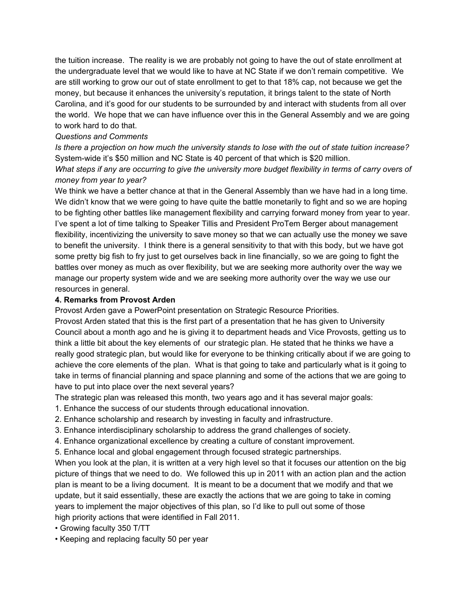the tuition increase. The reality is we are probably not going to have the out of state enrollment at the undergraduate level that we would like to have at NC State if we don't remain competitive. We are still working to grow our out of state enrollment to get to that 18% cap, not because we get the money, but because it enhances the university's reputation, it brings talent to the state of North Carolina, and it's good for our students to be surrounded by and interact with students from all over the world. We hope that we can have influence over this in the General Assembly and we are going to work hard to do that.

## *Questions and Comments*

Is there a projection on how much the university stands to lose with the out of state tuition increase? Systemwide it's \$50 million and NC State is 40 percent of that which is \$20 million.

What steps if any are occurring to give the university more budget flexibility in terms of carry overs of *money from year to year?*

We think we have a better chance at that in the General Assembly than we have had in a long time. We didn't know that we were going to have quite the battle monetarily to fight and so we are hoping to be fighting other battles like management flexibility and carrying forward money from year to year. I've spent a lot of time talking to Speaker Tillis and President ProTem Berger about management flexibility, incentivizing the university to save money so that we can actually use the money we save to benefit the university. I think there is a general sensitivity to that with this body, but we have got some pretty big fish to fry just to get ourselves back in line financially, so we are going to fight the battles over money as much as over flexibility, but we are seeking more authority over the way we manage our property system wide and we are seeking more authority over the way we use our resources in general.

## **4. Remarks from Provost Arden**

Provost Arden gave a PowerPoint presentation on Strategic Resource Priorities.

Provost Arden stated that this is the first part of a presentation that he has given to University Council about a month ago and he is giving it to department heads and Vice Provosts, getting us to think a little bit about the key elements of our strategic plan. He stated that he thinks we have a really good strategic plan, but would like for everyone to be thinking critically about if we are going to achieve the core elements of the plan. What is that going to take and particularly what is it going to take in terms of financial planning and space planning and some of the actions that we are going to have to put into place over the next several years?

The strategic plan was released this month, two years ago and it has several major goals:

1. Enhance the success of our students through educational innovation.

2. Enhance scholarship and research by investing in faculty and infrastructure.

3. Enhance interdisciplinary scholarship to address the grand challenges of society.

4. Enhance organizational excellence by creating a culture of constant improvement.

5. Enhance local and global engagement through focused strategic partnerships.

When you look at the plan, it is written at a very high level so that it focuses our attention on the big picture of things that we need to do. We followed this up in 2011 with an action plan and the action plan is meant to be a living document. It is meant to be a document that we modify and that we update, but it said essentially, these are exactly the actions that we are going to take in coming years to implement the major objectives of this plan, so I'd like to pull out some of those high priority actions that were identified in Fall 2011.

• Growing faculty 350 T/TT

• Keeping and replacing faculty 50 per year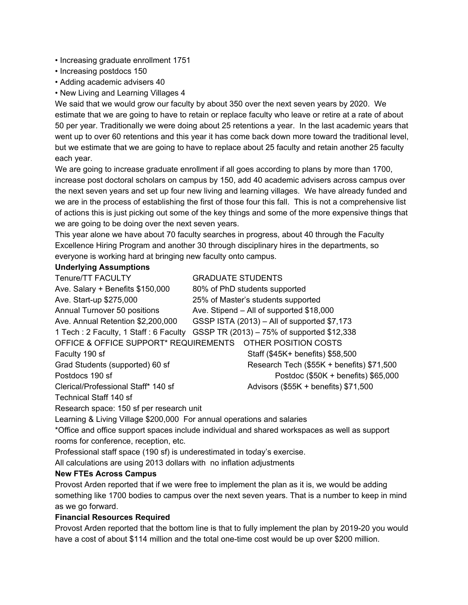- Increasing graduate enrollment 1751
- Increasing postdocs 150
- Adding academic advisers 40
- New Living and Learning Villages 4

We said that we would grow our faculty by about 350 over the next seven years by 2020. We estimate that we are going to have to retain or replace faculty who leave or retire at a rate of about 50 per year. Traditionally we were doing about 25 retentions a year. In the last academic years that went up to over 60 retentions and this year it has come back down more toward the traditional level, but we estimate that we are going to have to replace about 25 faculty and retain another 25 faculty each year.

We are going to increase graduate enrollment if all goes according to plans by more than 1700, increase post doctoral scholars on campus by 150, add 40 academic advisers across campus over the next seven years and set up four new living and learning villages. We have already funded and we are in the process of establishing the first of those four this fall. This is not a comprehensive list of actions this is just picking out some of the key things and some of the more expensive things that we are going to be doing over the next seven years.

This year alone we have about 70 faculty searches in progress, about 40 through the Faculty Excellence Hiring Program and another 30 through disciplinary hires in the departments, so everyone is working hard at bringing new faculty onto campus.

## **Underlying Assumptions**

| <b>GRADUATE STUDENTS</b>                                                            |  |
|-------------------------------------------------------------------------------------|--|
| 80% of PhD students supported                                                       |  |
| 25% of Master's students supported                                                  |  |
| Ave. Stipend - All of supported \$18,000                                            |  |
| GSSP ISTA (2013) - All of supported \$7,173                                         |  |
| GSSP TR (2013) – 75% of supported \$12,338<br>1 Tech: 2 Faculty, 1 Staff: 6 Faculty |  |
| OFFICE & OFFICE SUPPORT* REQUIREMENTS OTHER POSITION COSTS                          |  |
| Staff (\$45K+ benefits) \$58,500                                                    |  |
| Research Tech (\$55K + benefits) \$71,500                                           |  |
| Postdoc (\$50K + benefits) \$65,000                                                 |  |
| Advisors $(\$55K + benefits)$ \$71,500                                              |  |
|                                                                                     |  |
| Research space: 150 sf per research unit                                            |  |
| Learning & Living Village \$200,000 For annual operations and salaries              |  |
|                                                                                     |  |

\*Office and office support spaces include individual and shared workspaces as well as support rooms for conference, reception, etc.

Professional staff space (190 sf) is underestimated in today's exercise.

All calculations are using 2013 dollars with no inflation adjustments

# **New FTEs Across Campus**

Provost Arden reported that if we were free to implement the plan as it is, we would be adding something like 1700 bodies to campus over the next seven years. That is a number to keep in mind as we go forward.

### **Financial Resources Required**

Provost Arden reported that the bottom line is that to fully implement the plan by 2019-20 you would have a cost of about \$114 million and the total one-time cost would be up over \$200 million.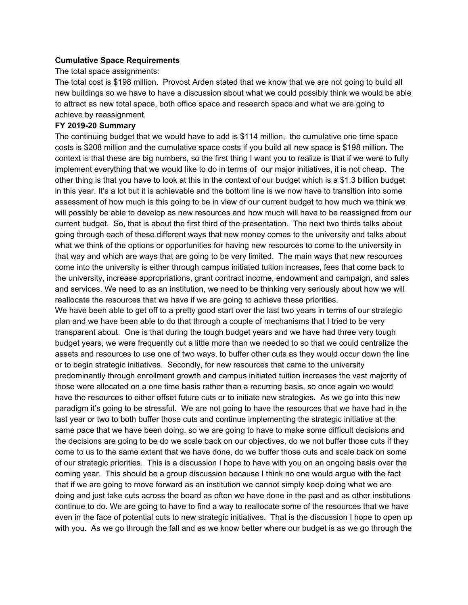#### **Cumulative Space Requirements**

The total space assignments:

The total cost is \$198 million. Provost Arden stated that we know that we are not going to build all new buildings so we have to have a discussion about what we could possibly think we would be able to attract as new total space, both office space and research space and what we are going to achieve by reassignment.

## **FY 201920 Summary**

The continuing budget that we would have to add is \$114 million, the cumulative one time space costs is \$208 million and the cumulative space costs if you build all new space is \$198 million. The context is that these are big numbers, so the first thing I want you to realize is that if we were to fully implement everything that we would like to do in terms of our major initiatives, it is not cheap. The other thing is that you have to look at this in the context of our budget which is a \$1.3 billion budget in this year. It's a lot but it is achievable and the bottom line is we now have to transition into some assessment of how much is this going to be in view of our current budget to how much we think we will possibly be able to develop as new resources and how much will have to be reassigned from our current budget. So, that is about the first third of the presentation. The next two thirds talks about going through each of these different ways that new money comes to the university and talks about what we think of the options or opportunities for having new resources to come to the university in that way and which are ways that are going to be very limited. The main ways that new resources come into the university is either through campus initiated tuition increases, fees that come back to the university, increase appropriations, grant contract income, endowment and campaign, and sales and services. We need to as an institution, we need to be thinking very seriously about how we will reallocate the resources that we have if we are going to achieve these priorities.

We have been able to get off to a pretty good start over the last two years in terms of our strategic plan and we have been able to do that through a couple of mechanisms that I tried to be very transparent about. One is that during the tough budget years and we have had three very tough budget years, we were frequently cut a little more than we needed to so that we could centralize the assets and resources to use one of two ways, to buffer other cuts as they would occur down the line or to begin strategic initiatives. Secondly, for new resources that came to the university predominantly through enrollment growth and campus initiated tuition increases the vast majority of those were allocated on a one time basis rather than a recurring basis, so once again we would have the resources to either offset future cuts or to initiate new strategies. As we go into this new paradigm it's going to be stressful. We are not going to have the resources that we have had in the last year or two to both buffer those cuts and continue implementing the strategic initiative at the same pace that we have been doing, so we are going to have to make some difficult decisions and the decisions are going to be do we scale back on our objectives, do we not buffer those cuts if they come to us to the same extent that we have done, do we buffer those cuts and scale back on some of our strategic priorities. This is a discussion I hope to have with you on an ongoing basis over the coming year. This should be a group discussion because I think no one would argue with the fact that if we are going to move forward as an institution we cannot simply keep doing what we are doing and just take cuts across the board as often we have done in the past and as other institutions continue to do. We are going to have to find a way to reallocate some of the resources that we have even in the face of potential cuts to new strategic initiatives. That is the discussion I hope to open up with you. As we go through the fall and as we know better where our budget is as we go through the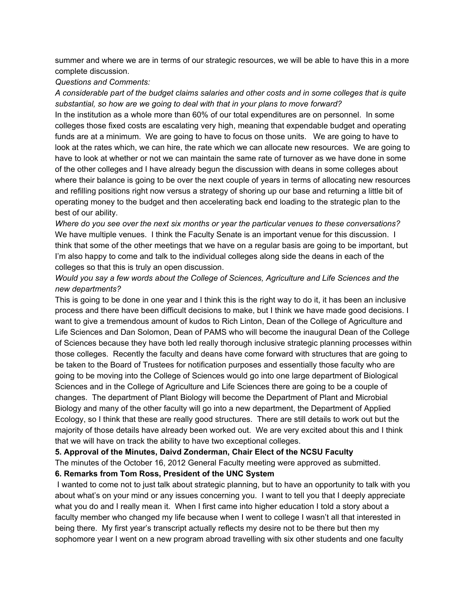summer and where we are in terms of our strategic resources, we will be able to have this in a more complete discussion.

*Questions and Comments:*

A considerable part of the budget claims salaries and other costs and in some colleges that is quite *substantial, so how are we going to deal with that in your plans to move forward?*

In the institution as a whole more than 60% of our total expenditures are on personnel. In some colleges those fixed costs are escalating very high, meaning that expendable budget and operating funds are at a minimum. We are going to have to focus on those units. We are going to have to look at the rates which, we can hire, the rate which we can allocate new resources. We are going to have to look at whether or not we can maintain the same rate of turnover as we have done in some of the other colleges and I have already begun the discussion with deans in some colleges about where their balance is going to be over the next couple of years in terms of allocating new resources and refilling positions right now versus a strategy of shoring up our base and returning a little bit of operating money to the budget and then accelerating back end loading to the strategic plan to the best of our ability.

*Where do you see over the next six months or year the particular venues to these conversations?* We have multiple venues. I think the Faculty Senate is an important venue for this discussion. I think that some of the other meetings that we have on a regular basis are going to be important, but I'm also happy to come and talk to the individual colleges along side the deans in each of the colleges so that this is truly an open discussion.

*Would you say a few words about the College of Sciences, Agriculture and Life Sciences and the new departments?*

This is going to be done in one year and I think this is the right way to do it, it has been an inclusive process and there have been difficult decisions to make, but I think we have made good decisions. I want to give a tremendous amount of kudos to Rich Linton, Dean of the College of Agriculture and Life Sciences and Dan Solomon, Dean of PAMS who will become the inaugural Dean of the College of Sciences because they have both led really thorough inclusive strategic planning processes within those colleges. Recently the faculty and deans have come forward with structures that are going to be taken to the Board of Trustees for notification purposes and essentially those faculty who are going to be moving into the College of Sciences would go into one large department of Biological Sciences and in the College of Agriculture and Life Sciences there are going to be a couple of changes. The department of Plant Biology will become the Department of Plant and Microbial Biology and many of the other faculty will go into a new department, the Department of Applied Ecology, so I think that these are really good structures. There are still details to work out but the majority of those details have already been worked out. We are very excited about this and I think that we will have on track the ability to have two exceptional colleges.

#### **5. Approval of the Minutes, Daivd Zonderman, Chair Elect of the NCSU Faculty**

The minutes of the October 16, 2012 General Faculty meeting were approved as submitted.

#### **6. Remarks from Tom Ross, President of the UNC System**

I wanted to come not to just talk about strategic planning, but to have an opportunity to talk with you about what's on your mind or any issues concerning you. I want to tell you that I deeply appreciate what you do and I really mean it. When I first came into higher education I told a story about a faculty member who changed my life because when I went to college I wasn't all that interested in being there. My first year's transcript actually reflects my desire not to be there but then my sophomore year I went on a new program abroad travelling with six other students and one faculty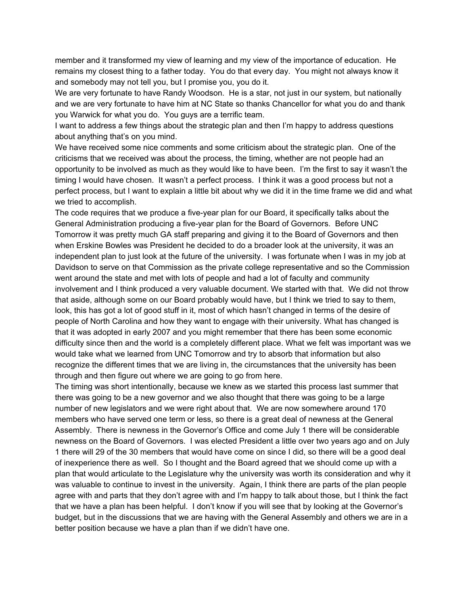member and it transformed my view of learning and my view of the importance of education. He remains my closest thing to a father today. You do that every day. You might not always know it and somebody may not tell you, but I promise you, you do it.

We are very fortunate to have Randy Woodson. He is a star, not just in our system, but nationally and we are very fortunate to have him at NC State so thanks Chancellor for what you do and thank you Warwick for what you do. You guys are a terrific team.

I want to address a few things about the strategic plan and then I'm happy to address questions about anything that's on you mind.

We have received some nice comments and some criticism about the strategic plan. One of the criticisms that we received was about the process, the timing, whether are not people had an opportunity to be involved as much as they would like to have been. I'm the first to say it wasn't the timing I would have chosen. It wasn't a perfect process. I think it was a good process but not a perfect process, but I want to explain a little bit about why we did it in the time frame we did and what we tried to accomplish.

The code requires that we produce a five-year plan for our Board, it specifically talks about the General Administration producing a five-year plan for the Board of Governors. Before UNC Tomorrow it was pretty much GA staff preparing and giving it to the Board of Governors and then when Erskine Bowles was President he decided to do a broader look at the university, it was an independent plan to just look at the future of the university. I was fortunate when I was in my job at Davidson to serve on that Commission as the private college representative and so the Commission went around the state and met with lots of people and had a lot of faculty and community involvement and I think produced a very valuable document. We started with that. We did not throw that aside, although some on our Board probably would have, but I think we tried to say to them, look, this has got a lot of good stuff in it, most of which hasn't changed in terms of the desire of people of North Carolina and how they want to engage with their university. What has changed is that it was adopted in early 2007 and you might remember that there has been some economic difficulty since then and the world is a completely different place. What we felt was important was we would take what we learned from UNC Tomorrow and try to absorb that information but also recognize the different times that we are living in, the circumstances that the university has been through and then figure out where we are going to go from here.

The timing was short intentionally, because we knew as we started this process last summer that there was going to be a new governor and we also thought that there was going to be a large number of new legislators and we were right about that. We are now somewhere around 170 members who have served one term or less, so there is a great deal of newness at the General Assembly. There is newness in the Governor's Office and come July 1 there will be considerable newness on the Board of Governors. I was elected President a little over two years ago and on July 1 there will 29 of the 30 members that would have come on since I did, so there will be a good deal of inexperience there as well. So I thought and the Board agreed that we should come up with a plan that would articulate to the Legislature why the university was worth its consideration and why it was valuable to continue to invest in the university. Again, I think there are parts of the plan people agree with and parts that they don't agree with and I'm happy to talk about those, but I think the fact that we have a plan has been helpful. I don't know if you will see that by looking at the Governor's budget, but in the discussions that we are having with the General Assembly and others we are in a better position because we have a plan than if we didn't have one.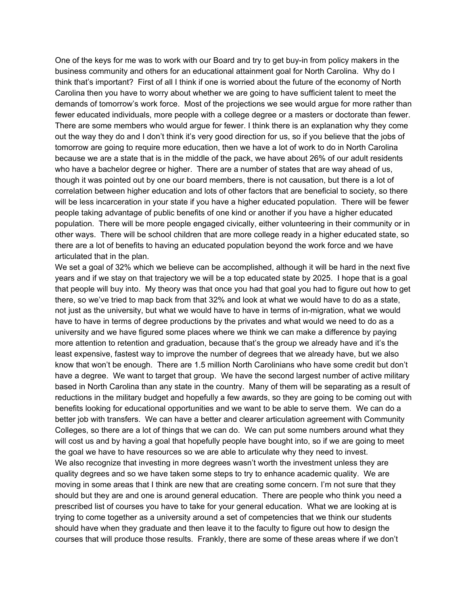One of the keys for me was to work with our Board and try to get buy-in from policy makers in the business community and others for an educational attainment goal for North Carolina. Why do I think that's important? First of all I think if one is worried about the future of the economy of North Carolina then you have to worry about whether we are going to have sufficient talent to meet the demands of tomorrow's work force. Most of the projections we see would argue for more rather than fewer educated individuals, more people with a college degree or a masters or doctorate than fewer. There are some members who would argue for fewer. I think there is an explanation why they come out the way they do and I don't think it's very good direction for us, so if you believe that the jobs of tomorrow are going to require more education, then we have a lot of work to do in North Carolina because we are a state that is in the middle of the pack, we have about 26% of our adult residents who have a bachelor degree or higher. There are a number of states that are way ahead of us, though it was pointed out by one our board members, there is not causation, but there is a lot of correlation between higher education and lots of other factors that are beneficial to society, so there will be less incarceration in your state if you have a higher educated population. There will be fewer people taking advantage of public benefits of one kind or another if you have a higher educated population. There will be more people engaged civically, either volunteering in their community or in other ways. There will be school children that are more college ready in a higher educated state, so there are a lot of benefits to having an educated population beyond the work force and we have articulated that in the plan.

We set a goal of 32% which we believe can be accomplished, although it will be hard in the next five years and if we stay on that trajectory we will be a top educated state by 2025. I hope that is a goal that people will buy into. My theory was that once you had that goal you had to figure out how to get there, so we've tried to map back from that 32% and look at what we would have to do as a state, not just as the university, but what we would have to have in terms of in-migration, what we would have to have in terms of degree productions by the privates and what would we need to do as a university and we have figured some places where we think we can make a difference by paying more attention to retention and graduation, because that's the group we already have and it's the least expensive, fastest way to improve the number of degrees that we already have, but we also know that won't be enough. There are 1.5 million North Carolinians who have some credit but don't have a degree. We want to target that group. We have the second largest number of active military based in North Carolina than any state in the country. Many of them will be separating as a result of reductions in the military budget and hopefully a few awards, so they are going to be coming out with benefits looking for educational opportunities and we want to be able to serve them. We can do a better job with transfers. We can have a better and clearer articulation agreement with Community Colleges, so there are a lot of things that we can do. We can put some numbers around what they will cost us and by having a goal that hopefully people have bought into, so if we are going to meet the goal we have to have resources so we are able to articulate why they need to invest. We also recognize that investing in more degrees wasn't worth the investment unless they are quality degrees and so we have taken some steps to try to enhance academic quality. We are moving in some areas that I think are new that are creating some concern. I'm not sure that they should but they are and one is around general education. There are people who think you need a prescribed list of courses you have to take for your general education. What we are looking at is trying to come together as a university around a set of competencies that we think our students should have when they graduate and then leave it to the faculty to figure out how to design the courses that will produce those results. Frankly, there are some of these areas where if we don't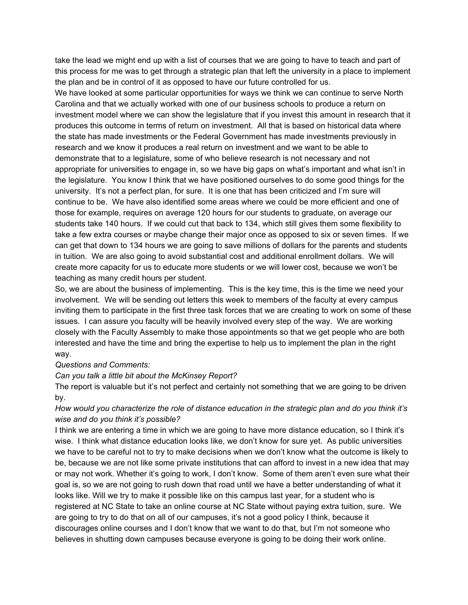take the lead we might end up with a list of courses that we are going to have to teach and part of this process for me was to get through a strategic plan that left the university in a place to implement the plan and be in control of it as opposed to have our future controlled for us.

We have looked at some particular opportunities for ways we think we can continue to serve North Carolina and that we actually worked with one of our business schools to produce a return on investment model where we can show the legislature that if you invest this amount in research that it produces this outcome in terms of return on investment. All that is based on historical data where the state has made investments or the Federal Government has made investments previously in research and we know it produces a real return on investment and we want to be able to demonstrate that to a legislature, some of who believe research is not necessary and not appropriate for universities to engage in, so we have big gaps on what's important and what isn't in the legislature. You know I think that we have positioned ourselves to do some good things for the university. It's not a perfect plan, for sure. It is one that has been criticized and I'm sure will continue to be. We have also identified some areas where we could be more efficient and one of those for example, requires on average 120 hours for our students to graduate, on average our students take 140 hours. If we could cut that back to 134, which still gives them some flexibility to take a few extra courses or maybe change their major once as opposed to six or seven times. If we can get that down to 134 hours we are going to save millions of dollars for the parents and students in tuition. We are also going to avoid substantial cost and additional enrollment dollars. We will create more capacity for us to educate more students or we will lower cost, because we won't be teaching as many credit hours per student.

So, we are about the business of implementing. This is the key time, this is the time we need your involvement. We will be sending out letters this week to members of the faculty at every campus inviting them to participate in the first three task forces that we are creating to work on some of these issues. I can assure you faculty will be heavily involved every step of the way. We are working closely with the Faculty Assembly to make those appointments so that we get people who are both interested and have the time and bring the expertise to help us to implement the plan in the right way.

### *Questions and Comments:*

# *Can you talk a little bit about the McKinsey Report?*

The report is valuable but it's not perfect and certainly not something that we are going to be driven by.

# How would you characterize the role of distance education in the strategic plan and do you think it's *wise and do you think it's possible?*

I think we are entering a time in which we are going to have more distance education, so I think it's wise. I think what distance education looks like, we don't know for sure yet. As public universities we have to be careful not to try to make decisions when we don't know what the outcome is likely to be, because we are not like some private institutions that can afford to invest in a new idea that may or may not work. Whether it's going to work, I don't know. Some of them aren't even sure what their goal is, so we are not going to rush down that road until we have a better understanding of what it looks like. Will we try to make it possible like on this campus last year, for a student who is registered at NC State to take an online course at NC State without paying extra tuition, sure. We are going to try to do that on all of our campuses, it's not a good policy I think, because it discourages online courses and I don't know that we want to do that, but I'm not someone who believes in shutting down campuses because everyone is going to be doing their work online.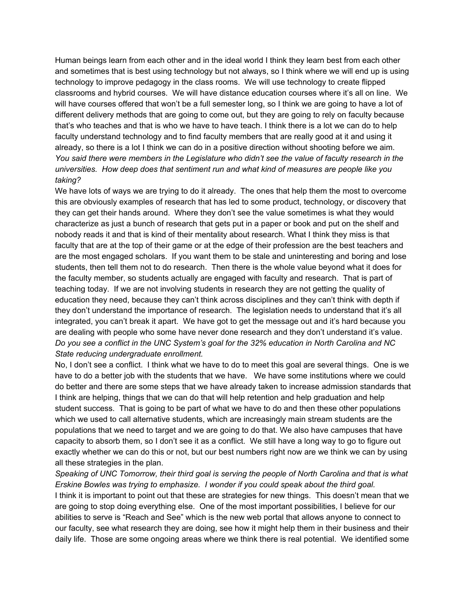Human beings learn from each other and in the ideal world I think they learn best from each other and sometimes that is best using technology but not always, so I think where we will end up is using technology to improve pedagogy in the class rooms. We will use technology to create flipped classrooms and hybrid courses. We will have distance education courses where it's all on line. We will have courses offered that won't be a full semester long, so I think we are going to have a lot of different delivery methods that are going to come out, but they are going to rely on faculty because that's who teaches and that is who we have to have teach. I think there is a lot we can do to help faculty understand technology and to find faculty members that are really good at it and using it already, so there is a lot I think we can do in a positive direction without shooting before we aim. *You said there were members in the Legislature who didn't see the value of faculty research in the universities. How deep does that sentiment run and what kind of measures are people like you taking?*

We have lots of ways we are trying to do it already. The ones that help them the most to overcome this are obviously examples of research that has led to some product, technology, or discovery that they can get their hands around. Where they don't see the value sometimes is what they would characterize as just a bunch of research that gets put in a paper or book and put on the shelf and nobody reads it and that is kind of their mentality about research. What I think they miss is that faculty that are at the top of their game or at the edge of their profession are the best teachers and are the most engaged scholars. If you want them to be stale and uninteresting and boring and lose students, then tell them not to do research. Then there is the whole value beyond what it does for the faculty member, so students actually are engaged with faculty and research. That is part of teaching today. If we are not involving students in research they are not getting the quality of education they need, because they can't think across disciplines and they can't think with depth if they don't understand the importance of research. The legislation needs to understand that it's all integrated, you can't break it apart. We have got to get the message out and it's hard because you are dealing with people who some have never done research and they don't understand it's value. Do you see a conflict in the UNC System's goal for the 32% education in North Carolina and NC *State reducing undergraduate enrollment.*

No, I don't see a conflict. I think what we have to do to meet this goal are several things. One is we have to do a better job with the students that we have. We have some institutions where we could do better and there are some steps that we have already taken to increase admission standards that I think are helping, things that we can do that will help retention and help graduation and help student success. That is going to be part of what we have to do and then these other populations which we used to call alternative students, which are increasingly main stream students are the populations that we need to target and we are going to do that. We also have campuses that have capacity to absorb them, so I don't see it as a conflict. We still have a long way to go to figure out exactly whether we can do this or not, but our best numbers right now are we think we can by using all these strategies in the plan.

Speaking of UNC Tomorrow, their third goal is serving the people of North Carolina and that is what *Erskine Bowles was trying to emphasize. I wonder if you could speak about the third goal.* I think it is important to point out that these are strategies for new things. This doesn't mean that we are going to stop doing everything else. One of the most important possibilities, I believe for our abilities to serve is "Reach and See" which is the new web portal that allows anyone to connect to our faculty, see what research they are doing, see how it might help them in their business and their daily life. Those are some ongoing areas where we think there is real potential. We identified some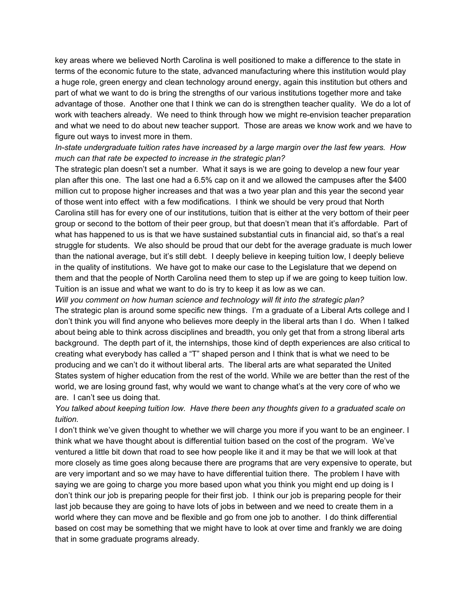key areas where we believed North Carolina is well positioned to make a difference to the state in terms of the economic future to the state, advanced manufacturing where this institution would play a huge role, green energy and clean technology around energy, again this institution but others and part of what we want to do is bring the strengths of our various institutions together more and take advantage of those. Another one that I think we can do is strengthen teacher quality. We do a lot of work with teachers already. We need to think through how we might re-envision teacher preparation and what we need to do about new teacher support. Those are areas we know work and we have to figure out ways to invest more in them.

*Instate undergraduate tuition rates have increased by a large margin over the last few years. How much can that rate be expected to increase in the strategic plan?*

The strategic plan doesn't set a number. What it says is we are going to develop a new four year plan after this one. The last one had a 6.5% cap on it and we allowed the campuses after the \$400 million cut to propose higher increases and that was a two year plan and this year the second year of those went into effect with a few modifications. I think we should be very proud that North Carolina still has for every one of our institutions, tuition that is either at the very bottom of their peer group or second to the bottom of their peer group, but that doesn't mean that it's affordable. Part of what has happened to us is that we have sustained substantial cuts in financial aid, so that's a real struggle for students. We also should be proud that our debt for the average graduate is much lower than the national average, but it's still debt. I deeply believe in keeping tuition low, I deeply believe in the quality of institutions. We have got to make our case to the Legislature that we depend on them and that the people of North Carolina need them to step up if we are going to keep tuition low. Tuition is an issue and what we want to do is try to keep it as low as we can.

*Will you comment on how human science and technology will fit into the strategic plan?* The strategic plan is around some specific new things. I'm a graduate of a Liberal Arts college and I don't think you will find anyone who believes more deeply in the liberal arts than I do. When I talked about being able to think across disciplines and breadth, you only get that from a strong liberal arts background. The depth part of it, the internships, those kind of depth experiences are also critical to creating what everybody has called a "T" shaped person and I think that is what we need to be producing and we can't do it without liberal arts. The liberal arts are what separated the United States system of higher education from the rest of the world. While we are better than the rest of the world, we are losing ground fast, why would we want to change what's at the very core of who we are. I can't see us doing that.

*You talked about keeping tuition low. Have there been any thoughts given to a graduated scale on tuition.*

I don't think we've given thought to whether we will charge you more if you want to be an engineer. I think what we have thought about is differential tuition based on the cost of the program. We've ventured a little bit down that road to see how people like it and it may be that we will look at that more closely as time goes along because there are programs that are very expensive to operate, but are very important and so we may have to have differential tuition there. The problem I have with saying we are going to charge you more based upon what you think you might end up doing is I don't think our job is preparing people for their first job. I think our job is preparing people for their last job because they are going to have lots of jobs in between and we need to create them in a world where they can move and be flexible and go from one job to another. I do think differential based on cost may be something that we might have to look at over time and frankly we are doing that in some graduate programs already.